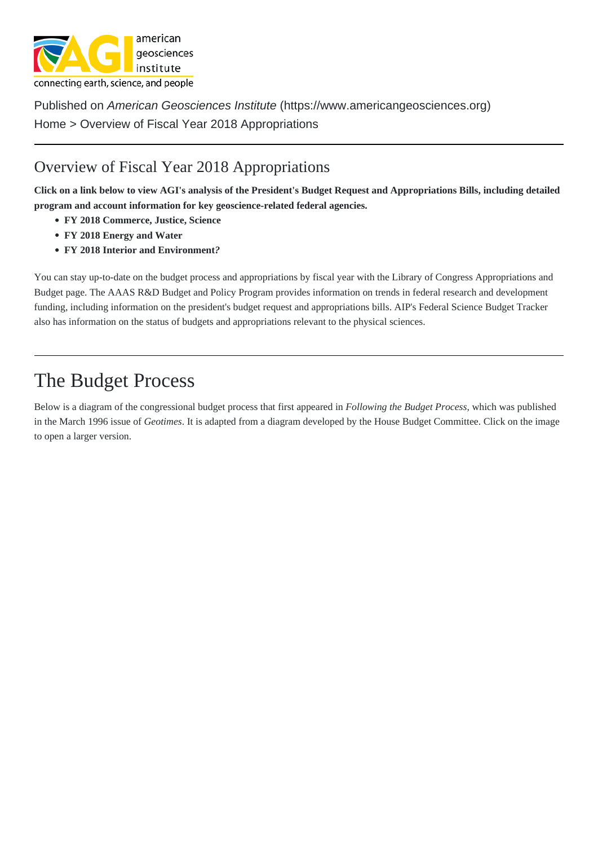Published on American Geosciences Institute (https://www.americangeosciences.org) Home > Overview of Fiscal Year 2018 Appropriations

## [Over](https://www.americangeosciences.org/)view of Fiscal Year 2018 Appr[opriations](https://www.americangeosciences.org)

Click on a link below to view AGI's analysis of the President's Budget Request and Appropriations Bills, including detailed program and account information for key geoscience-related federal agencies.

- [FY 2018 Commerce, Justice, Science](https://www.americangeosciences.org/policy/appropriations/overview-fiscal-year-2018-appropriations)
- FY 2018 Energy and Water
- FY 2018 Interior and Environment?

You c[an stay up-to-date on the budget pro](https://www.americangeosciences.org/policy/appropriations/commerce-justice-science-and-related-agencies-appropriations-fy-2018)cess and appropriations by fiscal year with that year Congress Appropriations and Budgetpage. The AAAS R&D Bud[get and P](https://www.americangeosciences.org/policy/appropriations/interior-environment-and-related-agencies-appropriations-fy-2018)olicy Prograprovides information on trends in federal research and development funding, including information on the president's budget request and appropriations Bils Federal Science Budget Tracker also has information on the status of budgets and appropriations relevant to the [physical sciences.](https://www.congress.gov/resources/display/content/Appropriations+and+Budget)

## The Budget Process

Below is a diagram of the congressional budget process that first appeared buing the Budget Proces which was published in the March 1996 issue Geotimes It is adapted from a diagram developed by the House Budget Committee. Click on the image to open a larger version.